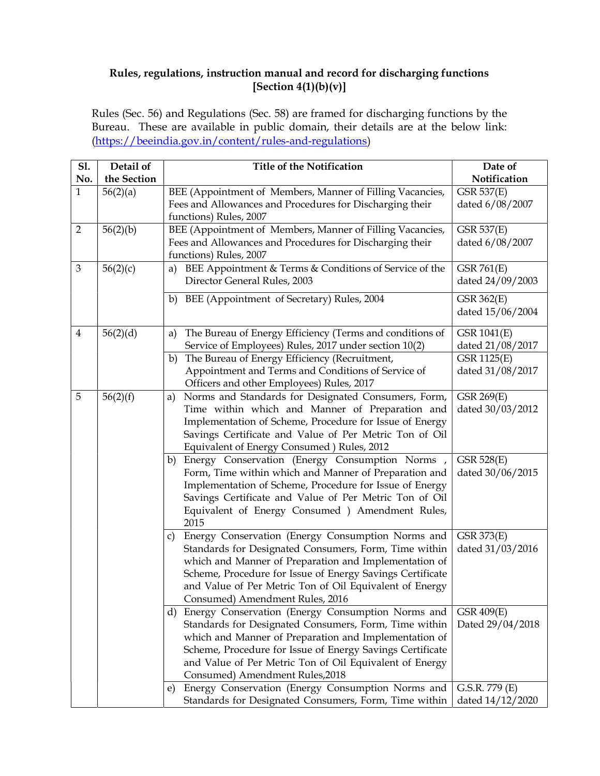## Rules, regulations, instruction manual and record for discharging functions  $[Section 4(1)(b)(v)]$

Rules (Sec. 56) and Regulations (Sec. 58) are framed for discharging functions by the Bureau. These are available in public domain, their details are at the below link: (https://beeindia.gov.in/content/rules-and-regulations)

| <b>S1.</b><br>No. | Detail of<br>the Section | <b>Title of the Notification</b>                                                                                                                                                                                                                                                                                                                                                                | Date of<br>Notification                                 |
|-------------------|--------------------------|-------------------------------------------------------------------------------------------------------------------------------------------------------------------------------------------------------------------------------------------------------------------------------------------------------------------------------------------------------------------------------------------------|---------------------------------------------------------|
| 1                 | 56(2)(a)                 | BEE (Appointment of Members, Manner of Filling Vacancies,                                                                                                                                                                                                                                                                                                                                       | <b>GSR 537(E)</b>                                       |
|                   |                          | Fees and Allowances and Procedures for Discharging their<br>functions) Rules, 2007                                                                                                                                                                                                                                                                                                              | dated 6/08/2007                                         |
| $\overline{2}$    | 56(2)(b)                 | BEE (Appointment of Members, Manner of Filling Vacancies,<br>Fees and Allowances and Procedures for Discharging their<br>functions) Rules, 2007                                                                                                                                                                                                                                                 | <b>GSR 537(E)</b><br>dated 6/08/2007                    |
| $\mathfrak{Z}$    | 56(2)(c)                 | BEE Appointment & Terms & Conditions of Service of the<br>a)<br>Director General Rules, 2003                                                                                                                                                                                                                                                                                                    | <b>GSR 761(E)</b><br>dated 24/09/2003                   |
|                   |                          | BEE (Appointment of Secretary) Rules, 2004<br>b)                                                                                                                                                                                                                                                                                                                                                | GSR 362(E)<br>dated 15/06/2004                          |
| $\overline{4}$    | 56(2)(d)                 | The Bureau of Energy Efficiency (Terms and conditions of<br>a)<br>Service of Employees) Rules, 2017 under section 10(2)                                                                                                                                                                                                                                                                         | GSR 1041(E)<br>dated 21/08/2017                         |
|                   |                          | The Bureau of Energy Efficiency (Recruitment,<br>b)<br>Appointment and Terms and Conditions of Service of<br>Officers and other Employees) Rules, 2017                                                                                                                                                                                                                                          | GSR 1125(E)<br>dated 31/08/2017                         |
| 5                 | 56(2)(f)                 | Norms and Standards for Designated Consumers, Form,<br>a)<br>Time within which and Manner of Preparation and<br>Implementation of Scheme, Procedure for Issue of Energy<br>Savings Certificate and Value of Per Metric Ton of Oil<br>Equivalent of Energy Consumed ) Rules, 2012                                                                                                                | GSR 269(E)<br>dated 30/03/2012                          |
|                   |                          | Energy Conservation (Energy Consumption Norms,<br>b)<br>Form, Time within which and Manner of Preparation and<br>Implementation of Scheme, Procedure for Issue of Energy<br>Savings Certificate and Value of Per Metric Ton of Oil<br>Equivalent of Energy Consumed ) Amendment Rules,<br>2015                                                                                                  | GSR 528(E)<br>dated 30/06/2015                          |
|                   |                          | Energy Conservation (Energy Consumption Norms and<br>C)<br>Standards for Designated Consumers, Form, Time within<br>which and Manner of Preparation and Implementation of<br>Scheme, Procedure for Issue of Energy Savings Certificate<br>and Value of Per Metric Ton of Oil Equivalent of Energy<br>Consumed) Amendment Rules, 2016                                                            | GSR 373(E)<br>dated 31/03/2016                          |
|                   |                          | Energy Conservation (Energy Consumption Norms and<br>d)<br>Standards for Designated Consumers, Form, Time within<br>which and Manner of Preparation and Implementation of<br>Scheme, Procedure for Issue of Energy Savings Certificate<br>and Value of Per Metric Ton of Oil Equivalent of Energy<br>Consumed) Amendment Rules, 2018<br>Energy Conservation (Energy Consumption Norms and<br>e) | <b>GSR 409(E)</b><br>Dated 29/04/2018<br>G.S.R. 779 (E) |
|                   |                          | Standards for Designated Consumers, Form, Time within                                                                                                                                                                                                                                                                                                                                           | dated $14/12/2020$                                      |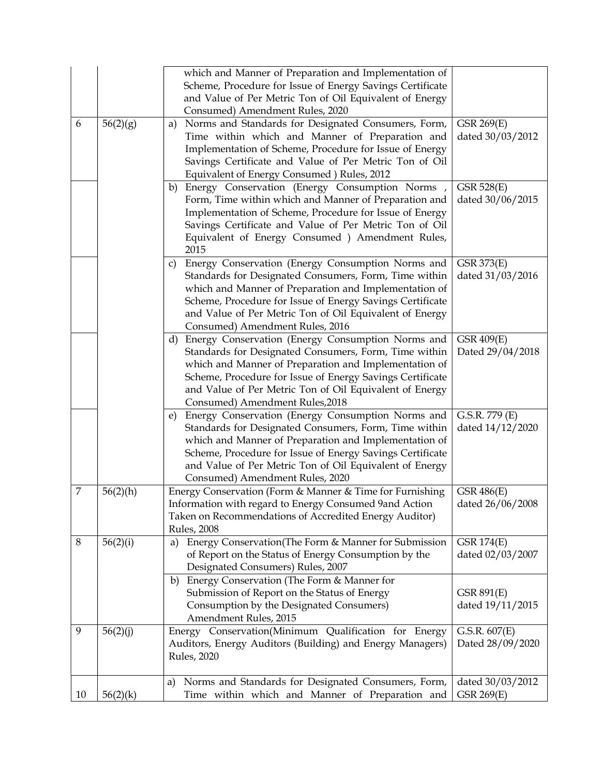|    |             | which and Manner of Preparation and Implementation of<br>Scheme, Procedure for Issue of Energy Savings Certificate<br>and Value of Per Metric Ton of Oil Equivalent of Energy                                                                                                                                                        |                                       |
|----|-------------|--------------------------------------------------------------------------------------------------------------------------------------------------------------------------------------------------------------------------------------------------------------------------------------------------------------------------------------|---------------------------------------|
|    |             | Consumed) Amendment Rules, 2020                                                                                                                                                                                                                                                                                                      |                                       |
| 6  | 56(2)(g)    | Norms and Standards for Designated Consumers, Form,<br>a)<br>Time within which and Manner of Preparation and<br>Implementation of Scheme, Procedure for Issue of Energy<br>Savings Certificate and Value of Per Metric Ton of Oil<br>Equivalent of Energy Consumed ) Rules, 2012                                                     | GSR 269(E)<br>dated 30/03/2012        |
|    |             | Energy Conservation (Energy Consumption Norms,<br>b)<br>Form, Time within which and Manner of Preparation and<br>Implementation of Scheme, Procedure for Issue of Energy<br>Savings Certificate and Value of Per Metric Ton of Oil<br>Equivalent of Energy Consumed ) Amendment Rules,<br>2015                                       | <b>GSR 528(E)</b><br>dated 30/06/2015 |
|    |             | Energy Conservation (Energy Consumption Norms and<br>C)<br>Standards for Designated Consumers, Form, Time within<br>which and Manner of Preparation and Implementation of<br>Scheme, Procedure for Issue of Energy Savings Certificate<br>and Value of Per Metric Ton of Oil Equivalent of Energy<br>Consumed) Amendment Rules, 2016 | GSR 373(E)<br>dated 31/03/2016        |
|    |             | Energy Conservation (Energy Consumption Norms and<br>d)<br>Standards for Designated Consumers, Form, Time within<br>which and Manner of Preparation and Implementation of<br>Scheme, Procedure for Issue of Energy Savings Certificate<br>and Value of Per Metric Ton of Oil Equivalent of Energy<br>Consumed) Amendment Rules, 2018 | <b>GSR 409(E)</b><br>Dated 29/04/2018 |
|    |             | Energy Conservation (Energy Consumption Norms and<br>e)<br>Standards for Designated Consumers, Form, Time within<br>which and Manner of Preparation and Implementation of<br>Scheme, Procedure for Issue of Energy Savings Certificate<br>and Value of Per Metric Ton of Oil Equivalent of Energy<br>Consumed) Amendment Rules, 2020 | G.S.R. 779 (E)<br>dated $14/12/2020$  |
| 7  | $56(2)$ (h) | Energy Conservation (Form & Manner & Time for Furnishing<br>Information with regard to Energy Consumed 9and Action<br>Taken on Recommendations of Accredited Energy Auditor)<br><b>Rules</b> , 2008                                                                                                                                  | GSR 486(E)<br>dated 26/06/2008        |
| 8  | 56(2)(i)    | Energy Conservation (The Form & Manner for Submission<br>a)<br>of Report on the Status of Energy Consumption by the<br>Designated Consumers) Rules, 2007                                                                                                                                                                             | <b>GSR 174(E)</b><br>dated 02/03/2007 |
|    |             | Energy Conservation (The Form & Manner for<br>b)<br>Submission of Report on the Status of Energy<br>Consumption by the Designated Consumers)<br>Amendment Rules, 2015                                                                                                                                                                | GSR 891(E)<br>dated $19/11/2015$      |
| 9  | 56(2)(j)    | Energy Conservation(Minimum Qualification for Energy<br>Auditors, Energy Auditors (Building) and Energy Managers)<br>Rules, 2020                                                                                                                                                                                                     | G.S.R. 607(E)<br>Dated 28/09/2020     |
| 10 | 56(2)(k)    | Norms and Standards for Designated Consumers, Form,<br>a)<br>Time within which and Manner of Preparation and                                                                                                                                                                                                                         | dated 30/03/2012<br>GSR 269(E)        |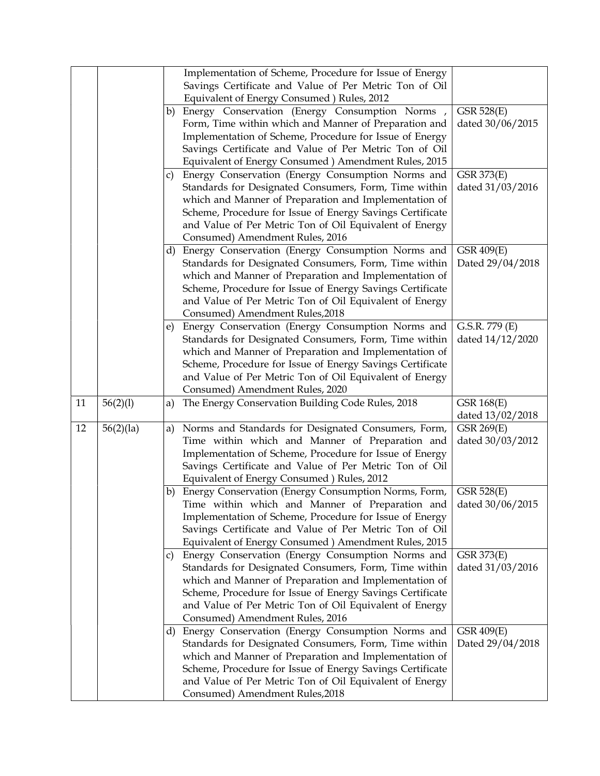|    |           |    | Implementation of Scheme, Procedure for Issue of Energy<br>Savings Certificate and Value of Per Metric Ton of Oil |                                |
|----|-----------|----|-------------------------------------------------------------------------------------------------------------------|--------------------------------|
|    |           |    | Equivalent of Energy Consumed ) Rules, 2012                                                                       |                                |
|    |           |    | b) Energy Conservation (Energy Consumption Norms,                                                                 | GSR 528(E)                     |
|    |           |    | Form, Time within which and Manner of Preparation and                                                             | dated 30/06/2015               |
|    |           |    | Implementation of Scheme, Procedure for Issue of Energy                                                           |                                |
|    |           |    | Savings Certificate and Value of Per Metric Ton of Oil                                                            |                                |
|    |           |    | Equivalent of Energy Consumed ) Amendment Rules, 2015                                                             |                                |
|    |           |    | c) Energy Conservation (Energy Consumption Norms and                                                              | GSR 373(E)                     |
|    |           |    | Standards for Designated Consumers, Form, Time within                                                             | dated 31/03/2016               |
|    |           |    | which and Manner of Preparation and Implementation of                                                             |                                |
|    |           |    | Scheme, Procedure for Issue of Energy Savings Certificate                                                         |                                |
|    |           |    | and Value of Per Metric Ton of Oil Equivalent of Energy                                                           |                                |
|    |           |    | Consumed) Amendment Rules, 2016                                                                                   |                                |
|    |           |    | d) Energy Conservation (Energy Consumption Norms and                                                              | <b>GSR 409(E)</b>              |
|    |           |    | Standards for Designated Consumers, Form, Time within                                                             | Dated 29/04/2018               |
|    |           |    | which and Manner of Preparation and Implementation of                                                             |                                |
|    |           |    | Scheme, Procedure for Issue of Energy Savings Certificate                                                         |                                |
|    |           |    | and Value of Per Metric Ton of Oil Equivalent of Energy                                                           |                                |
|    |           |    | Consumed) Amendment Rules, 2018                                                                                   |                                |
|    |           | e) | Energy Conservation (Energy Consumption Norms and                                                                 | G.S.R. 779 (E)                 |
|    |           |    | Standards for Designated Consumers, Form, Time within                                                             | dated 14/12/2020               |
|    |           |    | which and Manner of Preparation and Implementation of                                                             |                                |
|    |           |    | Scheme, Procedure for Issue of Energy Savings Certificate                                                         |                                |
|    |           |    | and Value of Per Metric Ton of Oil Equivalent of Energy                                                           |                                |
|    |           |    | Consumed) Amendment Rules, 2020                                                                                   |                                |
| 11 | 56(2)(1)  | a) | The Energy Conservation Building Code Rules, 2018                                                                 | <b>GSR 168(E)</b>              |
|    |           |    |                                                                                                                   | dated 13/02/2018               |
| 12 | 56(2)(1a) |    | a) Norms and Standards for Designated Consumers, Form,                                                            | GSR 269(E)                     |
|    |           |    | Time within which and Manner of Preparation and                                                                   | dated 30/03/2012               |
|    |           |    | Implementation of Scheme, Procedure for Issue of Energy                                                           |                                |
|    |           |    | Savings Certificate and Value of Per Metric Ton of Oil                                                            |                                |
|    |           |    | Equivalent of Energy Consumed ) Rules, 2012                                                                       |                                |
|    |           | b) | Energy Conservation (Energy Consumption Norms, Form,<br>Time within which and Manner of Preparation and           | GSR 528(E)<br>dated 30/06/2015 |
|    |           |    |                                                                                                                   |                                |
|    |           |    | Implementation of Scheme, Procedure for Issue of Energy                                                           |                                |
|    |           |    | Savings Certificate and Value of Per Metric Ton of Oil<br>Equivalent of Energy Consumed ) Amendment Rules, 2015   |                                |
|    |           |    | c) Energy Conservation (Energy Consumption Norms and                                                              | GSR 373(E)                     |
|    |           |    | Standards for Designated Consumers, Form, Time within                                                             | dated 31/03/2016               |
|    |           |    | which and Manner of Preparation and Implementation of                                                             |                                |
|    |           |    | Scheme, Procedure for Issue of Energy Savings Certificate                                                         |                                |
|    |           |    | and Value of Per Metric Ton of Oil Equivalent of Energy                                                           |                                |
|    |           |    | Consumed) Amendment Rules, 2016                                                                                   |                                |
|    |           |    | d) Energy Conservation (Energy Consumption Norms and                                                              | <b>GSR 409(E)</b>              |
|    |           |    | Standards for Designated Consumers, Form, Time within                                                             | Dated 29/04/2018               |
|    |           |    | which and Manner of Preparation and Implementation of                                                             |                                |
|    |           |    | Scheme, Procedure for Issue of Energy Savings Certificate                                                         |                                |
|    |           |    | and Value of Per Metric Ton of Oil Equivalent of Energy                                                           |                                |
|    |           |    | Consumed) Amendment Rules, 2018                                                                                   |                                |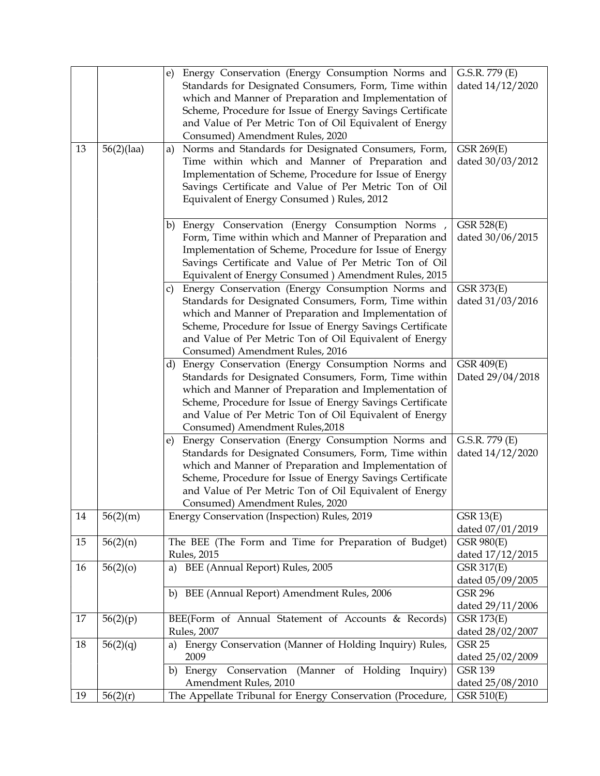| 13 | 56(2)(1) | e) Energy Conservation (Energy Consumption Norms and<br>Standards for Designated Consumers, Form, Time within<br>which and Manner of Preparation and Implementation of<br>Scheme, Procedure for Issue of Energy Savings Certificate<br>and Value of Per Metric Ton of Oil Equivalent of Energy<br>Consumed) Amendment Rules, 2020<br>Norms and Standards for Designated Consumers, Form,<br>a)<br>Time within which and Manner of Preparation and<br>Implementation of Scheme, Procedure for Issue of Energy<br>Savings Certificate and Value of Per Metric Ton of Oil<br>Equivalent of Energy Consumed ) Rules, 2012 | G.S.R. 779 (E)<br>dated $14/12/2020$<br>GSR 269(E)<br>dated 30/03/2012 |
|----|----------|-----------------------------------------------------------------------------------------------------------------------------------------------------------------------------------------------------------------------------------------------------------------------------------------------------------------------------------------------------------------------------------------------------------------------------------------------------------------------------------------------------------------------------------------------------------------------------------------------------------------------|------------------------------------------------------------------------|
|    |          | b) Energy Conservation (Energy Consumption Norms,<br>Form, Time within which and Manner of Preparation and<br>Implementation of Scheme, Procedure for Issue of Energy<br>Savings Certificate and Value of Per Metric Ton of Oil<br>Equivalent of Energy Consumed ) Amendment Rules, 2015                                                                                                                                                                                                                                                                                                                              | GSR 528(E)<br>dated 30/06/2015                                         |
|    |          | Energy Conservation (Energy Consumption Norms and<br>$\mathsf{C}$<br>Standards for Designated Consumers, Form, Time within<br>which and Manner of Preparation and Implementation of<br>Scheme, Procedure for Issue of Energy Savings Certificate<br>and Value of Per Metric Ton of Oil Equivalent of Energy<br>Consumed) Amendment Rules, 2016                                                                                                                                                                                                                                                                        | GSR 373(E)<br>dated 31/03/2016                                         |
|    |          | d) Energy Conservation (Energy Consumption Norms and<br>Standards for Designated Consumers, Form, Time within<br>which and Manner of Preparation and Implementation of<br>Scheme, Procedure for Issue of Energy Savings Certificate<br>and Value of Per Metric Ton of Oil Equivalent of Energy<br>Consumed) Amendment Rules, 2018                                                                                                                                                                                                                                                                                     | <b>GSR 409(E)</b><br>Dated 29/04/2018                                  |
|    |          | e) Energy Conservation (Energy Consumption Norms and<br>Standards for Designated Consumers, Form, Time within<br>which and Manner of Preparation and Implementation of<br>Scheme, Procedure for Issue of Energy Savings Certificate<br>and Value of Per Metric Ton of Oil Equivalent of Energy<br>Consumed) Amendment Rules, 2020                                                                                                                                                                                                                                                                                     | G.S.R. 779 (E)<br>dated 14/12/2020                                     |
| 14 | 56(2)(m) | Energy Conservation (Inspection) Rules, 2019                                                                                                                                                                                                                                                                                                                                                                                                                                                                                                                                                                          | GSR 13(E)<br>dated 07/01/2019                                          |
| 15 | 56(2)(n) | The BEE (The Form and Time for Preparation of Budget)<br><b>Rules</b> , 2015                                                                                                                                                                                                                                                                                                                                                                                                                                                                                                                                          | <b>GSR 980(E)</b><br>dated $17/12/2015$                                |
| 16 | 56(2)(o) | a) BEE (Annual Report) Rules, 2005                                                                                                                                                                                                                                                                                                                                                                                                                                                                                                                                                                                    | <b>GSR 317(E)</b><br>dated 05/09/2005<br><b>GSR 296</b>                |
|    |          | BEE (Annual Report) Amendment Rules, 2006<br>b)                                                                                                                                                                                                                                                                                                                                                                                                                                                                                                                                                                       | dated 29/11/2006                                                       |
| 17 | 56(2)(p) | BEE(Form of Annual Statement of Accounts & Records)<br><b>Rules</b> , 2007                                                                                                                                                                                                                                                                                                                                                                                                                                                                                                                                            | <b>GSR 173(E)</b><br>dated 28/02/2007                                  |
| 18 | 56(2)(q) | Energy Conservation (Manner of Holding Inquiry) Rules,<br>a)<br>2009                                                                                                                                                                                                                                                                                                                                                                                                                                                                                                                                                  | <b>GSR 25</b><br>dated 25/02/2009                                      |
|    |          | Energy Conservation (Manner of Holding Inquiry)<br>b)<br>Amendment Rules, 2010                                                                                                                                                                                                                                                                                                                                                                                                                                                                                                                                        | <b>GSR 139</b>                                                         |
| 19 | 56(2)(r) | The Appellate Tribunal for Energy Conservation (Procedure,                                                                                                                                                                                                                                                                                                                                                                                                                                                                                                                                                            | dated 25/08/2010<br>GSR 510(E)                                         |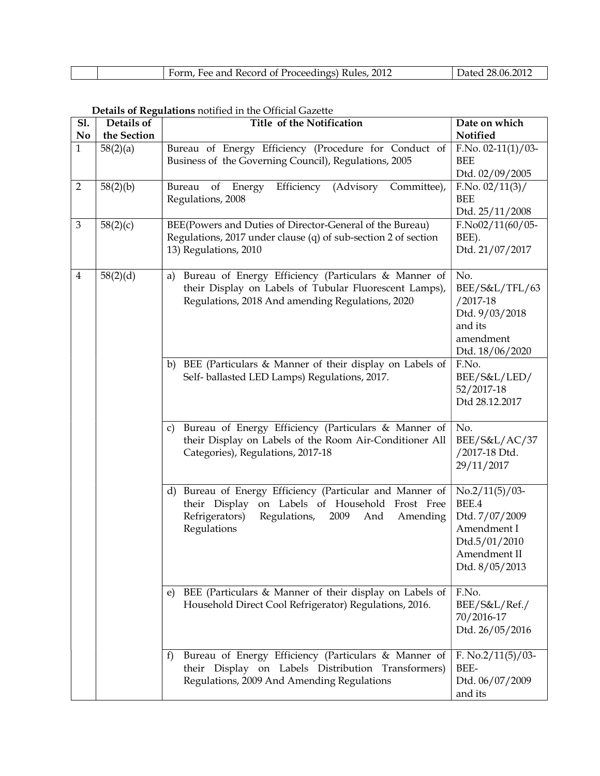| Form, Fee and Record of Proceedings) Rules, 2012 | Dated 28.06.2011 |
|--------------------------------------------------|------------------|

## Details of Regulations notified in the Official Gazette

| Sl.<br>N <sub>0</sub> | Details of<br>the Section | Details of Regulations notified in the Official Gazette<br>Title of the Notification                                                                                                          | Date on which<br>Notified                                                                                      |
|-----------------------|---------------------------|-----------------------------------------------------------------------------------------------------------------------------------------------------------------------------------------------|----------------------------------------------------------------------------------------------------------------|
| $\mathbf{1}$          | 58(2)(a)                  | Bureau of Energy Efficiency (Procedure for Conduct of<br>Business of the Governing Council), Regulations, 2005                                                                                | $F.No. 02-11(1)/03-$<br><b>BEE</b><br>Dtd. 02/09/2005                                                          |
| $\overline{2}$        | 58(2)(b)                  | Efficiency (Advisory Committee),<br>of<br>Energy<br>Bureau<br>Regulations, 2008                                                                                                               | F.No. 02/11(3)/<br><b>BEE</b><br>Dtd. 25/11/2008                                                               |
| 3                     | 58(2)(c)                  | BEE(Powers and Duties of Director-General of the Bureau)<br>Regulations, 2017 under clause (q) of sub-section 2 of section<br>13) Regulations, 2010                                           | $F.No02/11(60/05-$<br>BEE).<br>Dtd. 21/07/2017                                                                 |
| $\overline{4}$        | 58(2)(d)                  | Bureau of Energy Efficiency (Particulars & Manner of<br>a)<br>their Display on Labels of Tubular Fluorescent Lamps),<br>Regulations, 2018 And amending Regulations, 2020                      | No.<br>BEE/S&L/TFL/63<br>$/2017 - 18$<br>Dtd. 9/03/2018<br>and its<br>amendment<br>Dtd. 18/06/2020             |
|                       |                           | BEE (Particulars & Manner of their display on Labels of<br>b)<br>Self- ballasted LED Lamps) Regulations, 2017.                                                                                | F.No.<br>BEE/S&L/LED/<br>52/2017-18<br>Dtd 28.12.2017                                                          |
|                       |                           | Bureau of Energy Efficiency (Particulars & Manner of<br>C)<br>their Display on Labels of the Room Air-Conditioner All<br>Categories), Regulations, 2017-18                                    | No.<br>BEE/S&L/AC/37<br>/2017-18 Dtd.<br>29/11/2017                                                            |
|                       |                           | Bureau of Energy Efficiency (Particular and Manner of<br>d)<br>on Labels of Household Frost Free<br>their Display<br>Refrigerators)<br>Regulations,<br>2009<br>And<br>Amending<br>Regulations | $No.2/11(5)/03$ -<br>BEE.4<br>Dtd. 7/07/2009<br>Amendment I<br>Dtd.5/01/2010<br>Amendment II<br>Dtd. 8/05/2013 |
|                       |                           | BEE (Particulars & Manner of their display on Labels of<br>e)<br>Household Direct Cool Refrigerator) Regulations, 2016.                                                                       | F.No.<br>BEE/S&L/Ref./<br>70/2016-17<br>Dtd. 26/05/2016                                                        |
|                       |                           | Bureau of Energy Efficiency (Particulars & Manner of<br>$\mathbf{f}$<br>their Display on Labels Distribution<br>Transformers)<br>Regulations, 2009 And Amending Regulations                   | F. No. $2/11(5)/03$ -<br>BEE-<br>Dtd. 06/07/2009<br>and its                                                    |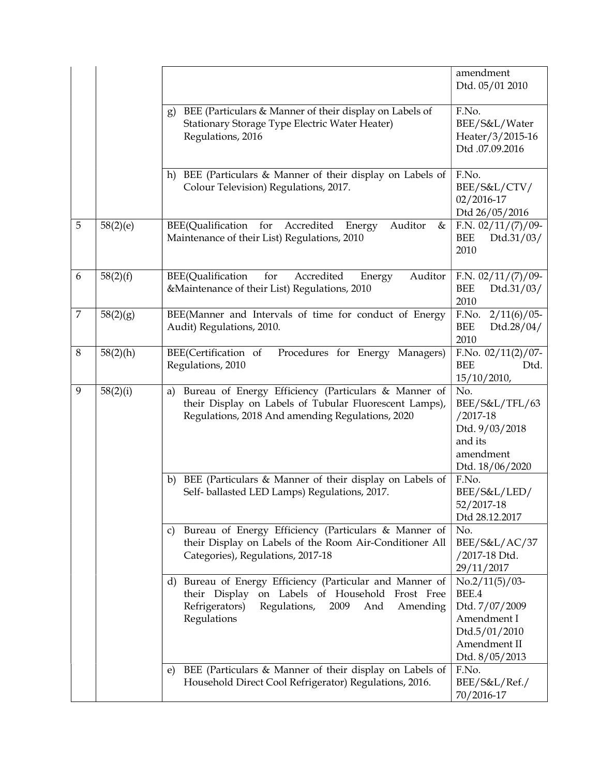|   |             |                                                                                                                                                                                               | amendment<br>Dtd. 05/01 2010                                                                                   |
|---|-------------|-----------------------------------------------------------------------------------------------------------------------------------------------------------------------------------------------|----------------------------------------------------------------------------------------------------------------|
|   |             | BEE (Particulars & Manner of their display on Labels of<br>g)<br>Stationary Storage Type Electric Water Heater)<br>Regulations, 2016                                                          | F.No.<br>BEE/S&L/Water<br>Heater/3/2015-16<br>Dtd.07.09.2016                                                   |
|   |             | BEE (Particulars & Manner of their display on Labels of<br>h)<br>Colour Television) Regulations, 2017.                                                                                        | F.No.<br>BEE/S&L/CTV/<br>02/2016-17<br>Dtd 26/05/2016                                                          |
| 5 | 58(2)(e)    | Auditor<br>BEE(Qualification<br>Accredited<br>for<br>&<br>Energy<br>Maintenance of their List) Regulations, 2010                                                                              | F.N. $02/11/(7)/09$ -<br>BEE<br>Dtd.31/03/<br>2010                                                             |
| 6 | 58(2)(f)    | for<br>BEE(Qualification<br>Accredited<br>Auditor<br>Energy<br>&Maintenance of their List) Regulations, 2010                                                                                  | F.N. $02/11/(7)/09$ -<br><b>BEE</b><br>Dtd.31/03/<br>2010                                                      |
| 7 | 58(2)(g)    | BEE(Manner and Intervals of time for conduct of Energy<br>Audit) Regulations, 2010.                                                                                                           | $2/11(6)/05$ -<br>F.No.<br><b>BEE</b><br>Dtd.28/04/<br>2010                                                    |
| 8 | $58(2)$ (h) | BEE(Certification of<br>Procedures for Energy Managers)<br>Regulations, 2010                                                                                                                  | F.No. $02/11(2)/07$ -<br><b>BEE</b><br>Dtd.<br>15/10/2010,                                                     |
| 9 | 58(2)(i)    | Bureau of Energy Efficiency (Particulars & Manner of<br>a)<br>their Display on Labels of Tubular Fluorescent Lamps),<br>Regulations, 2018 And amending Regulations, 2020                      | No.<br>BEE/S&L/TFL/63<br>$/2017 - 18$<br>Dtd. 9/03/2018<br>and its<br>amendment<br>Dtd. 18/06/2020             |
|   |             | BEE (Particulars & Manner of their display on Labels of<br>b)<br>Self- ballasted LED Lamps) Regulations, 2017.                                                                                | F.No.<br>BEE/S&L/LED/<br>52/2017-18<br>Dtd 28.12.2017                                                          |
|   |             | Bureau of Energy Efficiency (Particulars & Manner of<br>C)<br>their Display on Labels of the Room Air-Conditioner All<br>Categories), Regulations, 2017-18                                    | No.<br>BEE/S&L/AC/37<br>/2017-18 Dtd.<br>29/11/2017                                                            |
|   |             | Bureau of Energy Efficiency (Particular and Manner of<br>d)<br>their Display<br>on Labels of Household Frost Free<br>Refrigerators)<br>Regulations,<br>2009<br>And<br>Amending<br>Regulations | $No.2/11(5)/03$ -<br>BEE.4<br>Dtd. 7/07/2009<br>Amendment I<br>Dtd.5/01/2010<br>Amendment II<br>Dtd. 8/05/2013 |
|   |             | BEE (Particulars & Manner of their display on Labels of<br>e)<br>Household Direct Cool Refrigerator) Regulations, 2016.                                                                       | F.No.<br>BEE/S&L/Ref./<br>70/2016-17                                                                           |